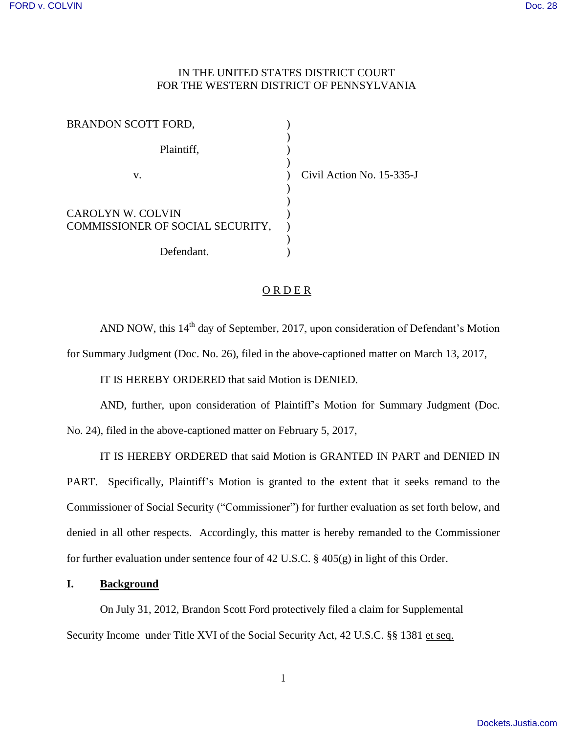# IN THE UNITED STATES DISTRICT COURT FOR THE WESTERN DISTRICT OF PENNSYLVANIA

| BRANDON SCOTT FORD,                                          |                           |
|--------------------------------------------------------------|---------------------------|
| Plaintiff,                                                   |                           |
| v.                                                           | Civil Action No. 15-335-J |
| <b>CAROLYN W. COLVIN</b><br>COMMISSIONER OF SOCIAL SECURITY, |                           |
| Defendant.                                                   |                           |

## O R D E R

AND NOW, this 14<sup>th</sup> day of September, 2017, upon consideration of Defendant's Motion for Summary Judgment (Doc. No. 26), filed in the above-captioned matter on March 13, 2017,

IT IS HEREBY ORDERED that said Motion is DENIED.

AND, further, upon consideration of Plaintiff's Motion for Summary Judgment (Doc. No. 24), filed in the above-captioned matter on February 5, 2017,

IT IS HEREBY ORDERED that said Motion is GRANTED IN PART and DENIED IN PART. Specifically, Plaintiff's Motion is granted to the extent that it seeks remand to the Commissioner of Social Security ("Commissioner") for further evaluation as set forth below, and denied in all other respects. Accordingly, this matter is hereby remanded to the Commissioner for further evaluation under sentence four of 42 U.S.C. § 405(g) in light of this Order.

### **I. Background**

 On July 31, 2012, Brandon Scott Ford protectively filed a claim for Supplemental Security Income under Title XVI of the Social Security Act, 42 U.S.C. §§ 1381 et seq.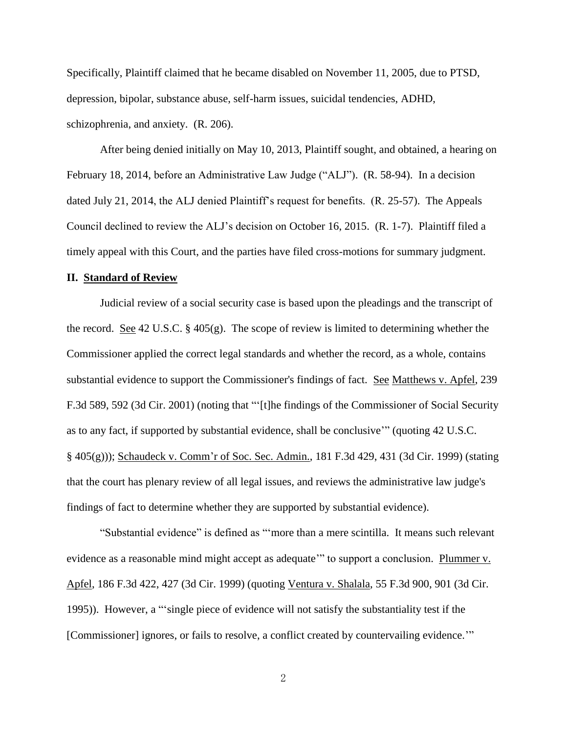Specifically, Plaintiff claimed that he became disabled on November 11, 2005, due to PTSD, depression, bipolar, substance abuse, self-harm issues, suicidal tendencies, ADHD, schizophrenia, and anxiety. (R. 206).

 After being denied initially on May 10, 2013, Plaintiff sought, and obtained, a hearing on February 18, 2014, before an Administrative Law Judge ("ALJ"). (R. 58-94). In a decision dated July 21, 2014, the ALJ denied Plaintiff's request for benefits. (R. 25-57). The Appeals Council declined to review the ALJ's decision on October 16, 2015. (R. 1-7). Plaintiff filed a timely appeal with this Court, and the parties have filed cross-motions for summary judgment.

### **II. Standard of Review**

Judicial review of a social security case is based upon the pleadings and the transcript of the record. See 42 U.S.C. § 405(g). The scope of review is limited to determining whether the Commissioner applied the correct legal standards and whether the record, as a whole, contains substantial evidence to support the Commissioner's findings of fact. See Matthews v. Apfel, 239 F.3d 589, 592 (3d Cir. 2001) (noting that "'[t]he findings of the Commissioner of Social Security as to any fact, if supported by substantial evidence, shall be conclusive'" (quoting 42 U.S.C. § 405(g))); Schaudeck v. Comm'r of Soc. Sec. Admin., 181 F.3d 429, 431 (3d Cir. 1999) (stating that the court has plenary review of all legal issues, and reviews the administrative law judge's findings of fact to determine whether they are supported by substantial evidence).

"Substantial evidence" is defined as "'more than a mere scintilla. It means such relevant evidence as a reasonable mind might accept as adequate" to support a conclusion. Plummer v. Apfel, 186 F.3d 422, 427 (3d Cir. 1999) (quoting Ventura v. Shalala, 55 F.3d 900, 901 (3d Cir. 1995)). However, a "'single piece of evidence will not satisfy the substantiality test if the [Commissioner] ignores, or fails to resolve, a conflict created by countervailing evidence."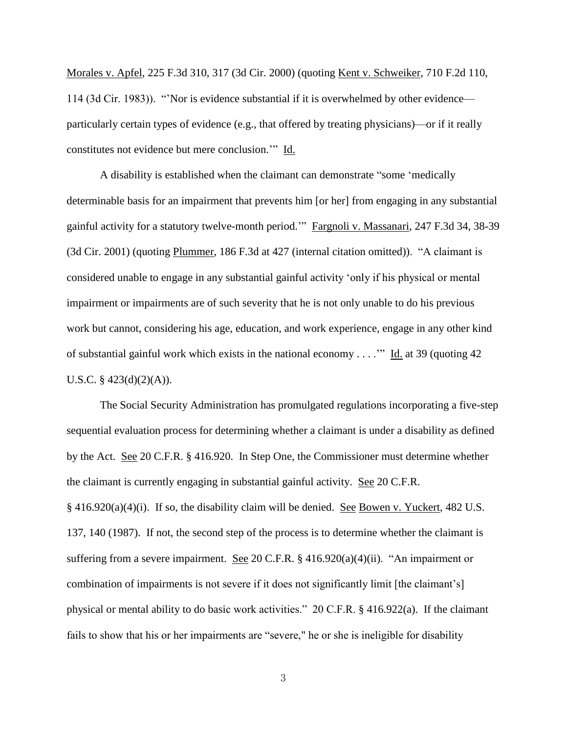Morales v. Apfel, 225 F.3d 310, 317 (3d Cir. 2000) (quoting Kent v. Schweiker, 710 F.2d 110, 114 (3d Cir. 1983)). "'Nor is evidence substantial if it is overwhelmed by other evidence particularly certain types of evidence (e.g., that offered by treating physicians)—or if it really constitutes not evidence but mere conclusion.'" Id.

 A disability is established when the claimant can demonstrate "some 'medically determinable basis for an impairment that prevents him [or her] from engaging in any substantial gainful activity for a statutory twelve-month period.'" Fargnoli v. Massanari, 247 F.3d 34, 38-39 (3d Cir. 2001) (quoting Plummer, 186 F.3d at 427 (internal citation omitted)). "A claimant is considered unable to engage in any substantial gainful activity 'only if his physical or mental impairment or impairments are of such severity that he is not only unable to do his previous work but cannot, considering his age, education, and work experience, engage in any other kind of substantial gainful work which exists in the national economy . . . .'" Id. at 39 (quoting 42 U.S.C.  $\S$  423(d)(2)(A)).

 The Social Security Administration has promulgated regulations incorporating a five-step sequential evaluation process for determining whether a claimant is under a disability as defined by the Act. See 20 C.F.R. § 416.920. In Step One, the Commissioner must determine whether the claimant is currently engaging in substantial gainful activity. See 20 C.F.R. § 416.920(a)(4)(i). If so, the disability claim will be denied. See Bowen v. Yuckert, 482 U.S. 137, 140 (1987). If not, the second step of the process is to determine whether the claimant is suffering from a severe impairment. See 20 C.F.R.  $\S$  416.920(a)(4)(ii). "An impairment or combination of impairments is not severe if it does not significantly limit [the claimant's] physical or mental ability to do basic work activities." 20 C.F.R. § 416.922(a). If the claimant fails to show that his or her impairments are "severe," he or she is ineligible for disability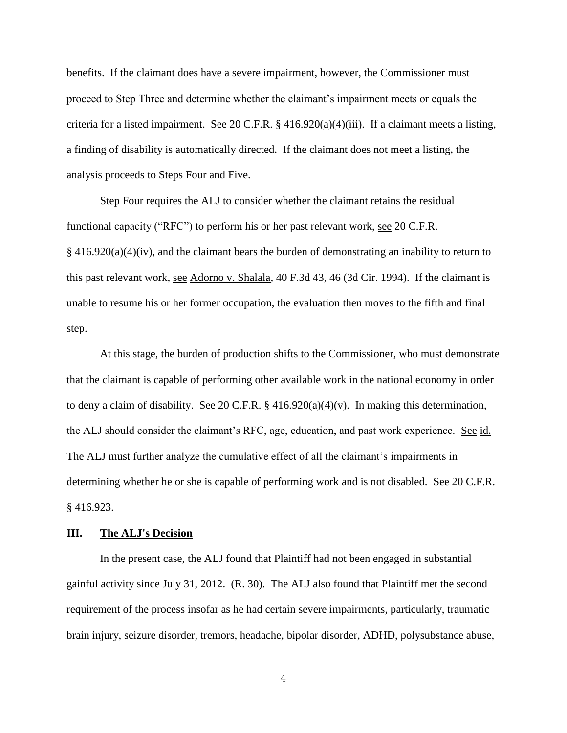benefits. If the claimant does have a severe impairment, however, the Commissioner must proceed to Step Three and determine whether the claimant's impairment meets or equals the criteria for a listed impairment. See 20 C.F.R.  $\S$  416.920(a)(4)(iii). If a claimant meets a listing, a finding of disability is automatically directed. If the claimant does not meet a listing, the analysis proceeds to Steps Four and Five.

 Step Four requires the ALJ to consider whether the claimant retains the residual functional capacity ("RFC") to perform his or her past relevant work, see 20 C.F.R.  $§$  416.920(a)(4)(iv), and the claimant bears the burden of demonstrating an inability to return to this past relevant work, see Adorno v. Shalala, 40 F.3d 43, 46 (3d Cir. 1994). If the claimant is unable to resume his or her former occupation, the evaluation then moves to the fifth and final step.

 At this stage, the burden of production shifts to the Commissioner, who must demonstrate that the claimant is capable of performing other available work in the national economy in order to deny a claim of disability. See 20 C.F.R. § 416.920(a)(4)(v). In making this determination, the ALJ should consider the claimant's RFC, age, education, and past work experience. See id. The ALJ must further analyze the cumulative effect of all the claimant's impairments in determining whether he or she is capable of performing work and is not disabled. See 20 C.F.R. § 416.923.

#### **III. The ALJ's Decision**

 In the present case, the ALJ found that Plaintiff had not been engaged in substantial gainful activity since July 31, 2012. (R. 30). The ALJ also found that Plaintiff met the second requirement of the process insofar as he had certain severe impairments, particularly, traumatic brain injury, seizure disorder, tremors, headache, bipolar disorder, ADHD, polysubstance abuse,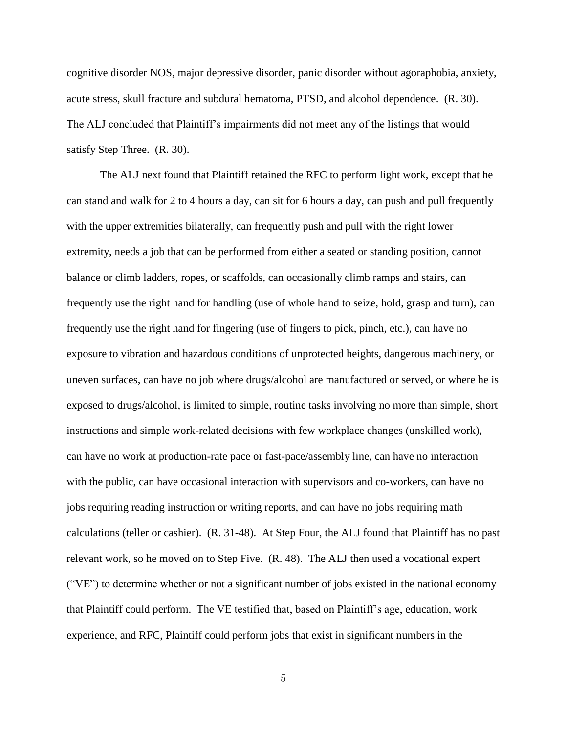cognitive disorder NOS, major depressive disorder, panic disorder without agoraphobia, anxiety, acute stress, skull fracture and subdural hematoma, PTSD, and alcohol dependence. (R. 30). The ALJ concluded that Plaintiff's impairments did not meet any of the listings that would satisfy Step Three. (R. 30).

 The ALJ next found that Plaintiff retained the RFC to perform light work, except that he can stand and walk for 2 to 4 hours a day, can sit for 6 hours a day, can push and pull frequently with the upper extremities bilaterally, can frequently push and pull with the right lower extremity, needs a job that can be performed from either a seated or standing position, cannot balance or climb ladders, ropes, or scaffolds, can occasionally climb ramps and stairs, can frequently use the right hand for handling (use of whole hand to seize, hold, grasp and turn), can frequently use the right hand for fingering (use of fingers to pick, pinch, etc.), can have no exposure to vibration and hazardous conditions of unprotected heights, dangerous machinery, or uneven surfaces, can have no job where drugs/alcohol are manufactured or served, or where he is exposed to drugs/alcohol, is limited to simple, routine tasks involving no more than simple, short instructions and simple work-related decisions with few workplace changes (unskilled work), can have no work at production-rate pace or fast-pace/assembly line, can have no interaction with the public, can have occasional interaction with supervisors and co-workers, can have no jobs requiring reading instruction or writing reports, and can have no jobs requiring math calculations (teller or cashier). (R. 31-48). At Step Four, the ALJ found that Plaintiff has no past relevant work, so he moved on to Step Five. (R. 48). The ALJ then used a vocational expert ("VE") to determine whether or not a significant number of jobs existed in the national economy that Plaintiff could perform. The VE testified that, based on Plaintiff's age, education, work experience, and RFC, Plaintiff could perform jobs that exist in significant numbers in the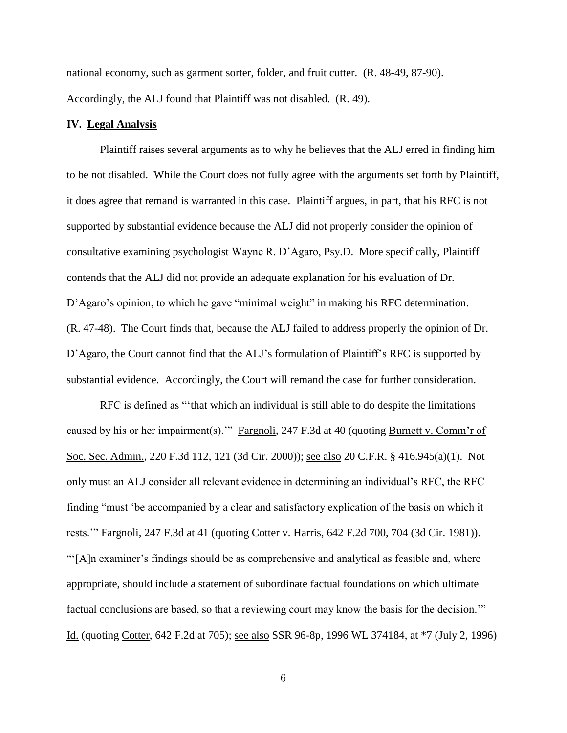national economy, such as garment sorter, folder, and fruit cutter. (R. 48-49, 87-90). Accordingly, the ALJ found that Plaintiff was not disabled. (R. 49).

### **IV. Legal Analysis**

 Plaintiff raises several arguments as to why he believes that the ALJ erred in finding him to be not disabled. While the Court does not fully agree with the arguments set forth by Plaintiff, it does agree that remand is warranted in this case. Plaintiff argues, in part, that his RFC is not supported by substantial evidence because the ALJ did not properly consider the opinion of consultative examining psychologist Wayne R. D'Agaro, Psy.D. More specifically, Plaintiff contends that the ALJ did not provide an adequate explanation for his evaluation of Dr. D'Agaro's opinion, to which he gave "minimal weight" in making his RFC determination. (R. 47-48). The Court finds that, because the ALJ failed to address properly the opinion of Dr. D'Agaro, the Court cannot find that the ALJ's formulation of Plaintiff's RFC is supported by substantial evidence. Accordingly, the Court will remand the case for further consideration.

RFC is defined as "'that which an individual is still able to do despite the limitations caused by his or her impairment(s)." Fargnoli, 247 F.3d at 40 (quoting Burnett v. Comm'r of Soc. Sec. Admin., 220 F.3d 112, 121 (3d Cir. 2000)); see also 20 C.F.R. § 416.945(a)(1). Not only must an ALJ consider all relevant evidence in determining an individual's RFC, the RFC finding "must 'be accompanied by a clear and satisfactory explication of the basis on which it rests.'" Fargnoli, 247 F.3d at 41 (quoting Cotter v. Harris, 642 F.2d 700, 704 (3d Cir. 1981)). "'[A]n examiner's findings should be as comprehensive and analytical as feasible and, where appropriate, should include a statement of subordinate factual foundations on which ultimate factual conclusions are based, so that a reviewing court may know the basis for the decision.'" Id. (quoting Cotter, 642 F.2d at 705); see also SSR 96-8p, 1996 WL 374184, at \*7 (July 2, 1996)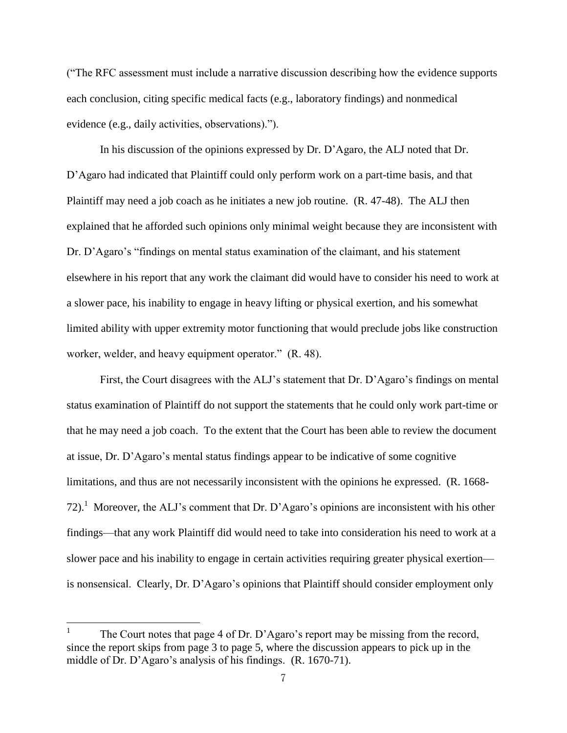("The RFC assessment must include a narrative discussion describing how the evidence supports each conclusion, citing specific medical facts (e.g., laboratory findings) and nonmedical evidence (e.g., daily activities, observations).").

 In his discussion of the opinions expressed by Dr. D'Agaro, the ALJ noted that Dr. D'Agaro had indicated that Plaintiff could only perform work on a part-time basis, and that Plaintiff may need a job coach as he initiates a new job routine. (R. 47-48). The ALJ then explained that he afforded such opinions only minimal weight because they are inconsistent with Dr. D'Agaro's "findings on mental status examination of the claimant, and his statement elsewhere in his report that any work the claimant did would have to consider his need to work at a slower pace, his inability to engage in heavy lifting or physical exertion, and his somewhat limited ability with upper extremity motor functioning that would preclude jobs like construction worker, welder, and heavy equipment operator." (R. 48).

First, the Court disagrees with the ALJ's statement that Dr. D'Agaro's findings on mental status examination of Plaintiff do not support the statements that he could only work part-time or that he may need a job coach. To the extent that the Court has been able to review the document at issue, Dr. D'Agaro's mental status findings appear to be indicative of some cognitive limitations, and thus are not necessarily inconsistent with the opinions he expressed. (R. 1668- 72).<sup>1</sup> Moreover, the ALJ's comment that Dr. D'Agaro's opinions are inconsistent with his other findings—that any work Plaintiff did would need to take into consideration his need to work at a slower pace and his inability to engage in certain activities requiring greater physical exertion is nonsensical. Clearly, Dr. D'Agaro's opinions that Plaintiff should consider employment only

 $\overline{a}$ 

<sup>1</sup> The Court notes that page 4 of Dr. D'Agaro's report may be missing from the record, since the report skips from page 3 to page 5, where the discussion appears to pick up in the middle of Dr. D'Agaro's analysis of his findings. (R. 1670-71).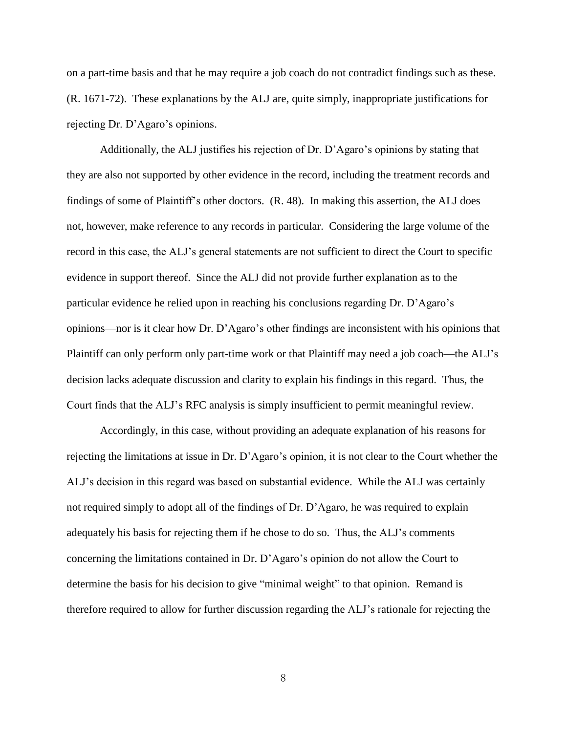on a part-time basis and that he may require a job coach do not contradict findings such as these. (R. 1671-72). These explanations by the ALJ are, quite simply, inappropriate justifications for rejecting Dr. D'Agaro's opinions.

Additionally, the ALJ justifies his rejection of Dr. D'Agaro's opinions by stating that they are also not supported by other evidence in the record, including the treatment records and findings of some of Plaintiff's other doctors. (R. 48). In making this assertion, the ALJ does not, however, make reference to any records in particular. Considering the large volume of the record in this case, the ALJ's general statements are not sufficient to direct the Court to specific evidence in support thereof. Since the ALJ did not provide further explanation as to the particular evidence he relied upon in reaching his conclusions regarding Dr. D'Agaro's opinions—nor is it clear how Dr. D'Agaro's other findings are inconsistent with his opinions that Plaintiff can only perform only part-time work or that Plaintiff may need a job coach—the ALJ's decision lacks adequate discussion and clarity to explain his findings in this regard. Thus, the Court finds that the ALJ's RFC analysis is simply insufficient to permit meaningful review.

 Accordingly, in this case, without providing an adequate explanation of his reasons for rejecting the limitations at issue in Dr. D'Agaro's opinion, it is not clear to the Court whether the ALJ's decision in this regard was based on substantial evidence. While the ALJ was certainly not required simply to adopt all of the findings of Dr. D'Agaro, he was required to explain adequately his basis for rejecting them if he chose to do so. Thus, the ALJ's comments concerning the limitations contained in Dr. D'Agaro's opinion do not allow the Court to determine the basis for his decision to give "minimal weight" to that opinion. Remand is therefore required to allow for further discussion regarding the ALJ's rationale for rejecting the